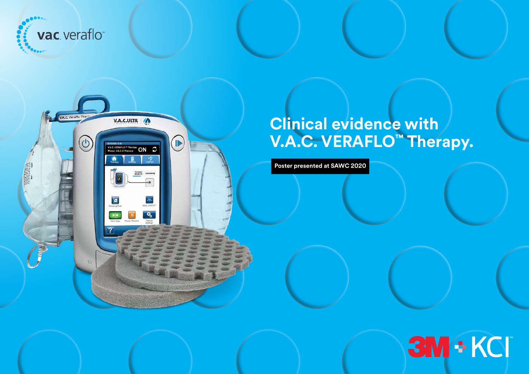



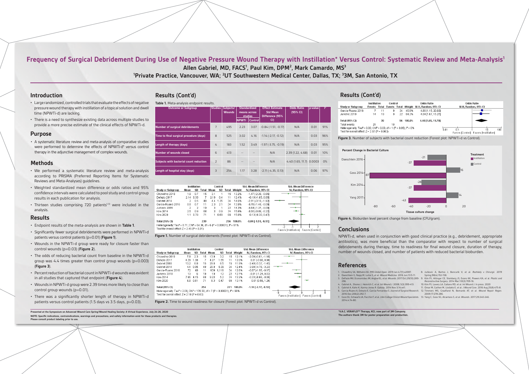## **Frequency of Surgical Debridement During Use of Negative Pressure Wound Therapy with Instillation\* Versus Control: Systematic Review and Meta-Analysis1** Allen Gabriel, MD, FACS<sup>1</sup>, Paul Kim, DPM<sup>2</sup>, Mark Camardo, MS<sup>3</sup>

**1 Private Practice, Vancouver, WA; 2 UT Southwestern Medical Center, Dallas, TX; 3 3M, San Antonio, TX**

**Presented at the Symposium on Advanced Wound Care Spring/Wound Healing Society: A Virtual Experience, July 24-26, 2020 NOTE: Specific indications, contraindications, warnings and precautions, and safety information exist for these products and therapies. Please consult product labeling prior to use.**

- Large randomized, controlled trials that evaluate the effects of negative pressure wound therapy with instillation of a topical solution and dwell time (NPWTi-d) are lacking.
- There is a need to synthesize existing data across multiple studies to provide a more precise estimate of the clinical effects of NPWTi-d.

#### **Introduction**

#### **Methods**

#### **Purpose**

• A systematic literature review and meta-analysis of comparative studies were performed to determine the effects of NPWTi-d\* versus control therapy in the adjunctive management of complex wounds.

- We performed a systematic literature review and meta-analysis according to PRISMA (Preferred Reporting Items for Systematic Reviews and Meta-Analyses) guidelines.
- Weighted standardized mean difference or odds ratios and 95% confidence intervalswere calculated to pool study and control group results in each publication for analysis.
- Thirteen studies comprising 720 patients<sup>1-13</sup> were included in the analysis.

NPWTi-d, when used in conjunction with good clinical practice (e.g., debridement, appropriate antibiotics), was more beneficial than the comparator with respect to number of surgical debridements during therapy, time to readiness for final wound closure, duration of therapy, number of wounds closed, and number of patients with reduced bacterial bioburden.

### **Conclusions**

| <b>Table II</b> There dilary als chapolite reserve. |                |                            |                                                |         |                                                              |                               |         |             |
|-----------------------------------------------------|----------------|----------------------------|------------------------------------------------|---------|--------------------------------------------------------------|-------------------------------|---------|-------------|
| <b>Outcome or Subgroup</b>                          | <b>Studies</b> | Subjects/<br><b>Wounds</b> | <b>Standardized</b><br>means across<br>studies |         | <b>Effect Estimate</b><br><b>Std Mean</b><br>Difference (95% | <b>Odds Ratio</b><br>(95% CI) | p-value | $ 2\rangle$ |
|                                                     |                |                            | <b>NPWTi</b>                                   | Control | CI)                                                          |                               |         |             |
| <b>Number of surgical debridements</b>              | $\overline{7}$ | 495                        | 2.23                                           | 3.07    | $-0.84$ $(-1.51, -0.17)$                                     | N/A                           | 0.01    | 91%         |
| Time to final surgical procedure (days)             | 8              | 525                        | 3.02                                           | 4.16    | $-1.14$ $(-2.17, -0.12)$                                     | N/A                           | 0.03    | 96%         |
| Length of therapy (days)                            | $\overline{4}$ | 183                        | 1.52                                           | 3.49    | $-1.97(-3.75,-0.19)$                                         | N/A                           | 0.03    | 95%         |
| <b>Number of wounds closed</b>                      | 6              | 413                        |                                                |         | N/A                                                          | 2.39(1.22, 4.68)              | 0.01    | 10%         |
| Subjects with bacterial count reduction             | $\overline{2}$ | 86                         | $-1$                                           |         | N/A                                                          | 4.40 (1.65, 11.7) 0.0003      |         | $0\%$       |
| Length of hospital stay (days)                      | 3              | 254                        | 1.17                                           | 3.28    | $-2.11(-4.35, 0.13)$                                         | N/A                           | 0.06    | 97%         |



**\*V.A.C. VERAFLO™ Therapy, KCI, now part of 3M Company.** The authors thank 3M for 1. Chowdhry SA, Wilhelmi BJ. *PRS Global Open*. 2019 Jan 4;7(1):e2087. 2. Daeschlein G, Napp M, Lutze S, et al. *Wound Medicine*. 2016 Jun;13:5-11. 3. DeFazio MV, Economides JM, Anghel EL, et al. *Wounds*. 2017Oct;29(10):289- 9. Kim PJ, Attinger CE, Steinberg JS, Evans KK, Powers KA, et al. *Plastic and*  296. 4. Gabriel A., Shores J, Heinrich C, et al. *Int Wound J.* 2008; 5(3):399-413. 5. Gabriel A, Kahn K, Karmy-Jones R. *Eplasty*. 2014 Nov 3;14:e41. 6. Garcia-Ruano A, Deleyto E, Garcia-Fernandez S. *Journal of Surgical Research*. 7. Goss SG, Schwartz JA, Facchin F, et al. *J Am College Clinical Wound Specialists*. 13. Yang C, Goss SG, Alcantara S, et al. *Wounds.* 2017;29:240-246. 8. Jurkovic A, Bartos J, Bencurik V, et al. *Rozhledy v Chirurgii*. 2019 Spring;98(4):152-158. *Reconstructive Surgery*. 2014 Mar;133(3):709-16. 10. Kim PJ, Lavery LA, Galiano RD, et al. *Int Wound J*. In press. 2020 11. Omar M, Gathen M, Liodakis E, et al. *J Wound Care*. 2016 Aug;25(8):475-8. 12. Timmers MS, Graafland N, Bernards AT, et al. *Wound Repair Regen.* 2009;17:278-286.



Figure 3. Number of subjects with bacterial count reduction (Forest plot: NPWTi-d vs Control).

- Endpoint results of the meta-analysis are shown in **Table 1**.
- Significantly fewer surgical debridements were performed in NPWTi-d patients versus control patients (p=0.01) (**Figure 1**).
- Wounds in the NPWTi-d group were ready for closure faster than control wounds (p=0.03) (**Figure 2**).
- The odds of reducing bacterial count from baseline in the NPWTi-d group was 4.4 times greater than control group wounds  $(p=0.003)$ (**Figure 3**).
- Percent reduction of bacterial count in NPWTi-d wounds was evident in all studies that captured that endpoint (**Figure 4**).
- Wounds in NPWTi-d group were 2.39 times more likely to close than control group wounds (p=0.01).
- There was a significantly shorter length of therapy in NPWTi-d patients versus control patients (1.5 days vs 3.5 days, p=0.03).

#### **Results**

## **Results (Cont'd) Results (Cont'd)**

#### **Table 1.** Meta-analysis endpoint

#### **References**

- 
- 
- 2016 Dec;206(2):292-7.
- 2014;4:74-80.

**Figure 1.** Number of surgical debridements (Forest plot: NPWTi-d vs Control).



**Figure 2.** Time to wound readiness for closure (Forest plot: NPWTi-d vs Control).

|                                                                                | Instillation | Control |                            |    |
|--------------------------------------------------------------------------------|--------------|---------|----------------------------|----|
| <b>Study or Subgroup</b>                                                       |              |         | <b>Events Total Events</b> | Τo |
| Garcia-Ruano 2016                                                              |              | 11      | g                          |    |
| Jurkovic 2019                                                                  | 14           | 19      | g                          |    |
| <b>Total (95% CI)</b>                                                          |              | 30      |                            |    |
| Total events                                                                   | 21           |         | 18                         |    |
| Heterogeneity: Tau <sup>2</sup> = 0.00; Chi <sup>2</sup> = 0.03, df = 1 (P = 0 |              |         |                            |    |
| Test for overall effect: $Z = 2.97$ (P = 0.003)                                |              |         |                            |    |
|                                                                                |              |         |                            |    |

**Figure 4.** Bioburden level percent change from baseline (CFU/gram).